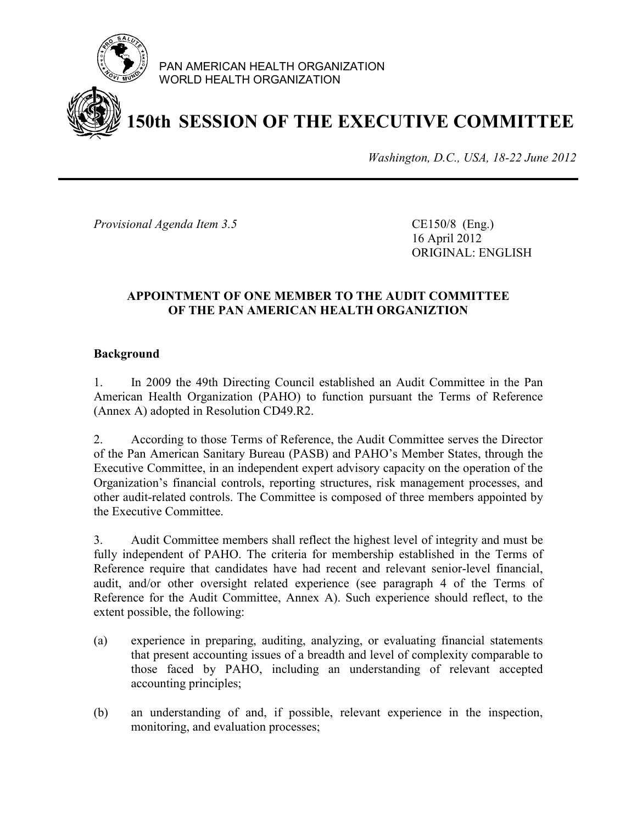

PAN AMERICAN HEALTH ORGANIZATION WORLD HEALTH ORGANIZATION

## **150th SESSION OF THE EXECUTIVE COMMITTEE**

*Washington, D.C., USA, 18-22 June 2012*

*Provisional Agenda Item 3.5* CE150/8 (Eng.)

16 April 2012 ORIGINAL: ENGLISH

#### **APPOINTMENT OF ONE MEMBER TO THE AUDIT COMMITTEE OF THE PAN AMERICAN HEALTH ORGANIZTION**

#### **Background**

1. In 2009 the 49th Directing Council established an Audit Committee in the Pan American Health Organization (PAHO) to function pursuant the Terms of Reference (Annex A) adopted in Resolution CD49.R2.

2. According to those Terms of Reference, the Audit Committee serves the Director of the Pan American Sanitary Bureau (PASB) and PAHO's Member States, through the Executive Committee, in an independent expert advisory capacity on the operation of the Organization's financial controls, reporting structures, risk management processes, and other audit-related controls. The Committee is composed of three members appointed by the Executive Committee.

3. Audit Committee members shall reflect the highest level of integrity and must be fully independent of PAHO. The criteria for membership established in the Terms of Reference require that candidates have had recent and relevant senior-level financial, audit, and/or other oversight related experience (see paragraph 4 of the Terms of Reference for the Audit Committee, Annex A). Such experience should reflect, to the extent possible, the following:

- (a) experience in preparing, auditing, analyzing, or evaluating financial statements that present accounting issues of a breadth and level of complexity comparable to those faced by PAHO, including an understanding of relevant accepted accounting principles;
- (b) an understanding of and, if possible, relevant experience in the inspection, monitoring, and evaluation processes;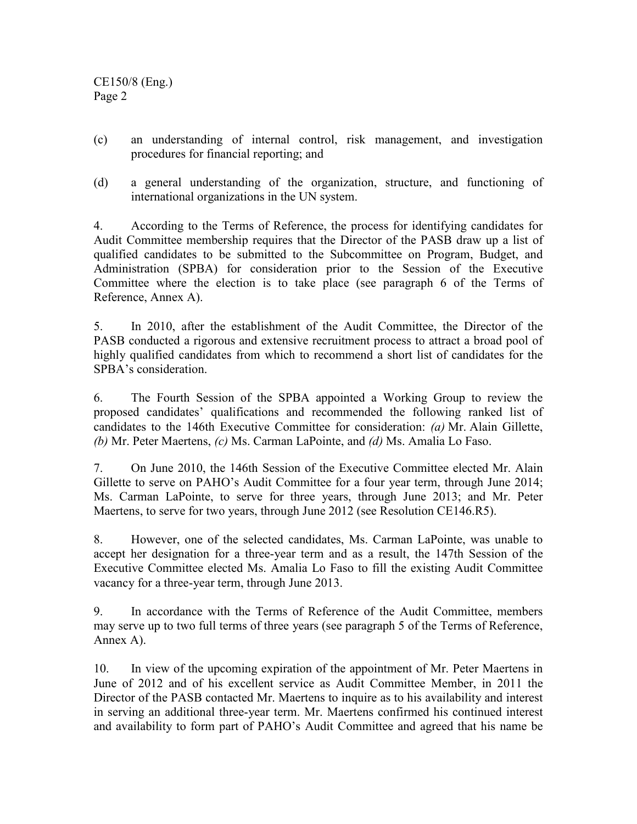CE150/8 (Eng.) Page 2

- (c) an understanding of internal control, risk management, and investigation procedures for financial reporting; and
- (d) a general understanding of the organization, structure, and functioning of international organizations in the UN system.

4. According to the Terms of Reference, the process for identifying candidates for Audit Committee membership requires that the Director of the PASB draw up a list of qualified candidates to be submitted to the Subcommittee on Program, Budget, and Administration (SPBA) for consideration prior to the Session of the Executive Committee where the election is to take place (see paragraph 6 of the Terms of Reference, Annex A).

5. In 2010, after the establishment of the Audit Committee, the Director of the PASB conducted a rigorous and extensive recruitment process to attract a broad pool of highly qualified candidates from which to recommend a short list of candidates for the SPBA's consideration.

6. The Fourth Session of the SPBA appointed a Working Group to review the proposed candidates' qualifications and recommended the following ranked list of candidates to the 146th Executive Committee for consideration: *(a)* Mr. Alain Gillette, *(b)* Mr. Peter Maertens, *(c)* Ms. Carman LaPointe, and *(d)* Ms. Amalia Lo Faso.

7. On June 2010, the 146th Session of the Executive Committee elected Mr. Alain Gillette to serve on PAHO's Audit Committee for a four year term, through June 2014; Ms. Carman LaPointe, to serve for three years, through June 2013; and Mr. Peter Maertens, to serve for two years, through June 2012 (see Resolution CE146.R5).

8. However, one of the selected candidates, Ms. Carman LaPointe, was unable to accept her designation for a three-year term and as a result, the 147th Session of the Executive Committee elected Ms. Amalia Lo Faso to fill the existing Audit Committee vacancy for a three-year term, through June 2013.

9. In accordance with the Terms of Reference of the Audit Committee, members may serve up to two full terms of three years (see paragraph 5 of the Terms of Reference, Annex A).

10. In view of the upcoming expiration of the appointment of Mr. Peter Maertens in June of 2012 and of his excellent service as Audit Committee Member, in 2011 the Director of the PASB contacted Mr. Maertens to inquire as to his availability and interest in serving an additional three-year term. Mr. Maertens confirmed his continued interest and availability to form part of PAHO's Audit Committee and agreed that his name be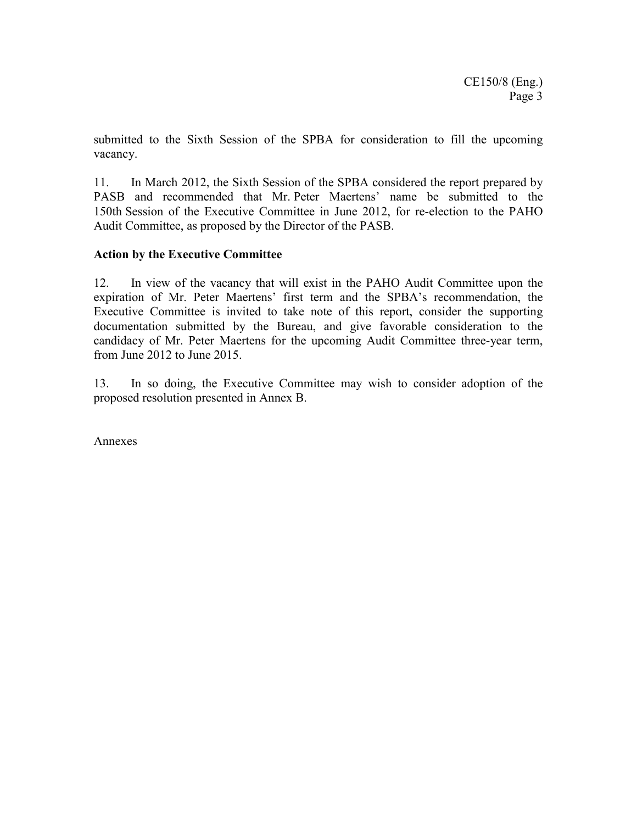submitted to the Sixth Session of the SPBA for consideration to fill the upcoming vacancy.

11. In March 2012, the Sixth Session of the SPBA considered the report prepared by PASB and recommended that Mr. Peter Maertens' name be submitted to the 150th Session of the Executive Committee in June 2012, for re-election to the PAHO Audit Committee, as proposed by the Director of the PASB.

#### **Action by the Executive Committee**

12. In view of the vacancy that will exist in the PAHO Audit Committee upon the expiration of Mr. Peter Maertens' first term and the SPBA's recommendation, the Executive Committee is invited to take note of this report, consider the supporting documentation submitted by the Bureau, and give favorable consideration to the candidacy of Mr. Peter Maertens for the upcoming Audit Committee three-year term, from June 2012 to June 2015.

13. In so doing, the Executive Committee may wish to consider adoption of the proposed resolution presented in Annex B.

Annexes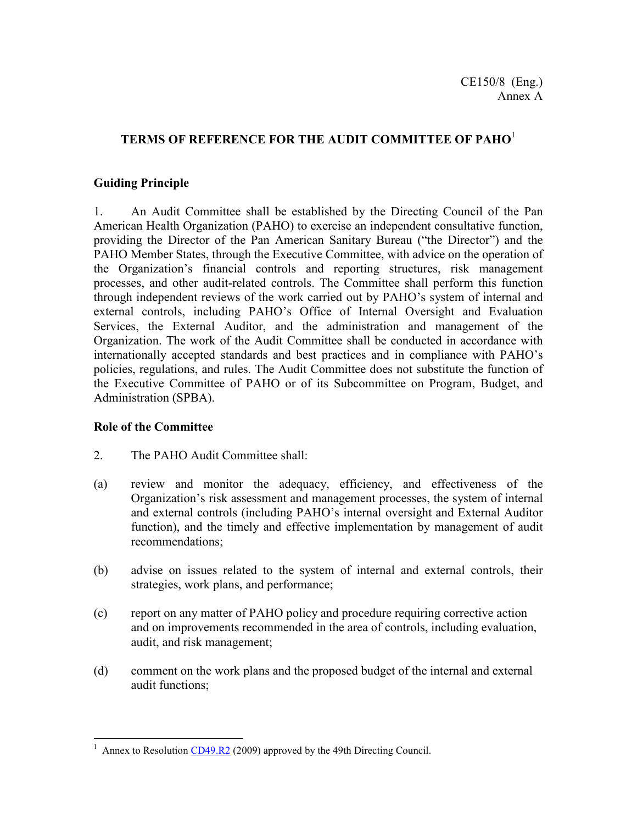#### **TERMS OF REFERENCE FOR THE AUDIT COMMITTEE OF PAHO**<sup>1</sup>

#### **Guiding Principle**

1. An Audit Committee shall be established by the Directing Council of the Pan American Health Organization (PAHO) to exercise an independent consultative function, providing the Director of the Pan American Sanitary Bureau ("the Director") and the PAHO Member States, through the Executive Committee, with advice on the operation of the Organization's financial controls and reporting structures, risk management processes, and other audit-related controls. The Committee shall perform this function through independent reviews of the work carried out by PAHO's system of internal and external controls, including PAHO's Office of Internal Oversight and Evaluation Services, the External Auditor, and the administration and management of the Organization. The work of the Audit Committee shall be conducted in accordance with internationally accepted standards and best practices and in compliance with PAHO's policies, regulations, and rules. The Audit Committee does not substitute the function of the Executive Committee of PAHO or of its Subcommittee on Program, Budget, and Administration (SPBA).

#### **Role of the Committee**

- 2. The PAHO Audit Committee shall:
- (a) review and monitor the adequacy, efficiency, and effectiveness of the Organization's risk assessment and management processes, the system of internal and external controls (including PAHO's internal oversight and External Auditor function), and the timely and effective implementation by management of audit recommendations;
- (b) advise on issues related to the system of internal and external controls, their strategies, work plans, and performance;
- (c) report on any matter of PAHO policy and procedure requiring corrective action and on improvements recommended in the area of controls, including evaluation, audit, and risk management;
- (d) comment on the work plans and the proposed budget of the internal and external audit functions;

<sup>&</sup>lt;sup>1</sup> Annex to Resolution CD49.R2 (2009) approved by the 49th Directing Council.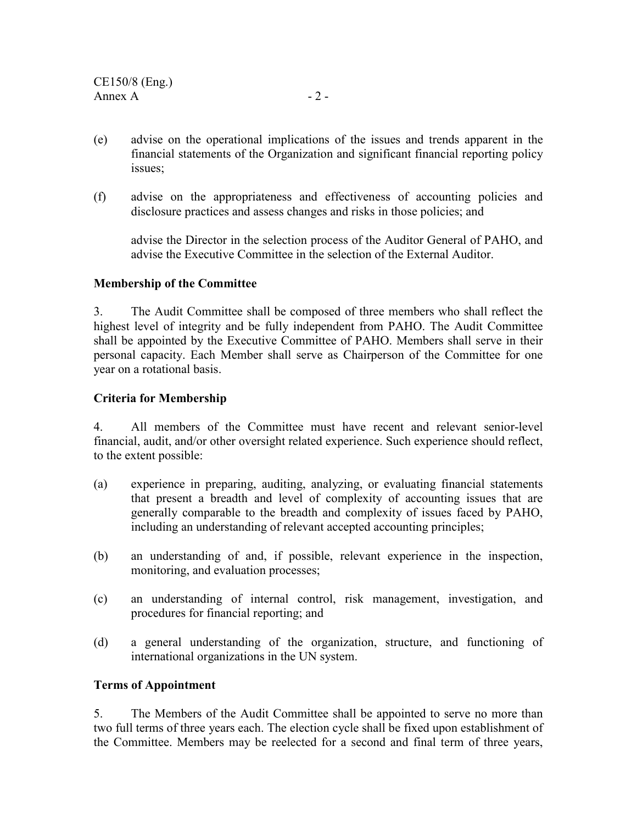- (e) advise on the operational implications of the issues and trends apparent in the financial statements of the Organization and significant financial reporting policy issues;
- (f) advise on the appropriateness and effectiveness of accounting policies and disclosure practices and assess changes and risks in those policies; and

advise the Director in the selection process of the Auditor General of PAHO, and advise the Executive Committee in the selection of the External Auditor.

#### **Membership of the Committee**

3. The Audit Committee shall be composed of three members who shall reflect the highest level of integrity and be fully independent from PAHO. The Audit Committee shall be appointed by the Executive Committee of PAHO. Members shall serve in their personal capacity. Each Member shall serve as Chairperson of the Committee for one year on a rotational basis.

#### **Criteria for Membership**

4. All members of the Committee must have recent and relevant senior-level financial, audit, and/or other oversight related experience. Such experience should reflect, to the extent possible:

- (a) experience in preparing, auditing, analyzing, or evaluating financial statements that present a breadth and level of complexity of accounting issues that are generally comparable to the breadth and complexity of issues faced by PAHO, including an understanding of relevant accepted accounting principles;
- (b) an understanding of and, if possible, relevant experience in the inspection, monitoring, and evaluation processes;
- (c) an understanding of internal control, risk management, investigation, and procedures for financial reporting; and
- (d) a general understanding of the organization, structure, and functioning of international organizations in the UN system.

#### **Terms of Appointment**

5. The Members of the Audit Committee shall be appointed to serve no more than two full terms of three years each. The election cycle shall be fixed upon establishment of the Committee. Members may be reelected for a second and final term of three years,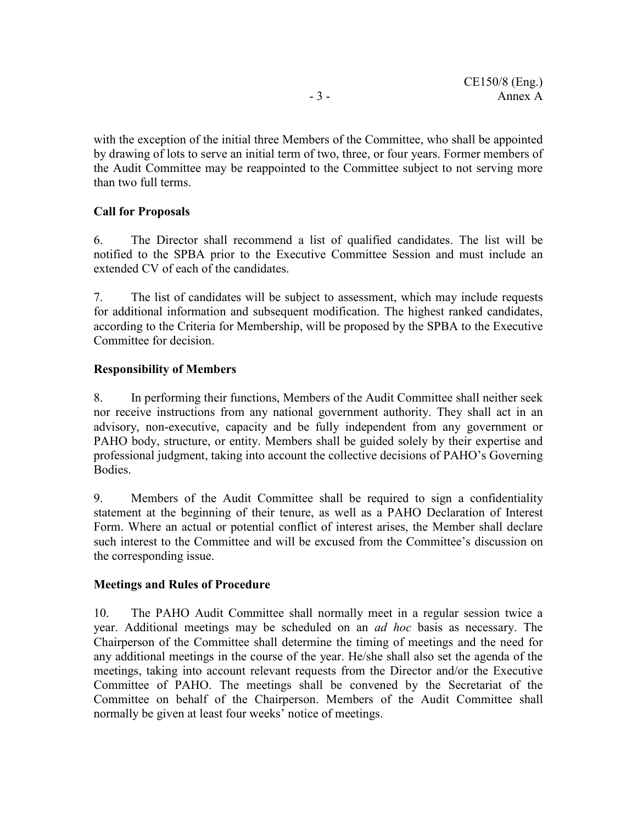with the exception of the initial three Members of the Committee, who shall be appointed by drawing of lots to serve an initial term of two, three, or four years. Former members of the Audit Committee may be reappointed to the Committee subject to not serving more than two full terms.

#### **Call for Proposals**

6. The Director shall recommend a list of qualified candidates. The list will be notified to the SPBA prior to the Executive Committee Session and must include an extended CV of each of the candidates.

7. The list of candidates will be subject to assessment, which may include requests for additional information and subsequent modification. The highest ranked candidates, according to the Criteria for Membership, will be proposed by the SPBA to the Executive Committee for decision.

#### **Responsibility of Members**

8. In performing their functions, Members of the Audit Committee shall neither seek nor receive instructions from any national government authority. They shall act in an advisory, non-executive, capacity and be fully independent from any government or PAHO body, structure, or entity. Members shall be guided solely by their expertise and professional judgment, taking into account the collective decisions of PAHO's Governing Bodies.

9. Members of the Audit Committee shall be required to sign a confidentiality statement at the beginning of their tenure, as well as a PAHO Declaration of Interest Form. Where an actual or potential conflict of interest arises, the Member shall declare such interest to the Committee and will be excused from the Committee's discussion on the corresponding issue.

#### **Meetings and Rules of Procedure**

10. The PAHO Audit Committee shall normally meet in a regular session twice a year. Additional meetings may be scheduled on an *ad hoc* basis as necessary. The Chairperson of the Committee shall determine the timing of meetings and the need for any additional meetings in the course of the year. He/she shall also set the agenda of the meetings, taking into account relevant requests from the Director and/or the Executive Committee of PAHO. The meetings shall be convened by the Secretariat of the Committee on behalf of the Chairperson. Members of the Audit Committee shall normally be given at least four weeks' notice of meetings.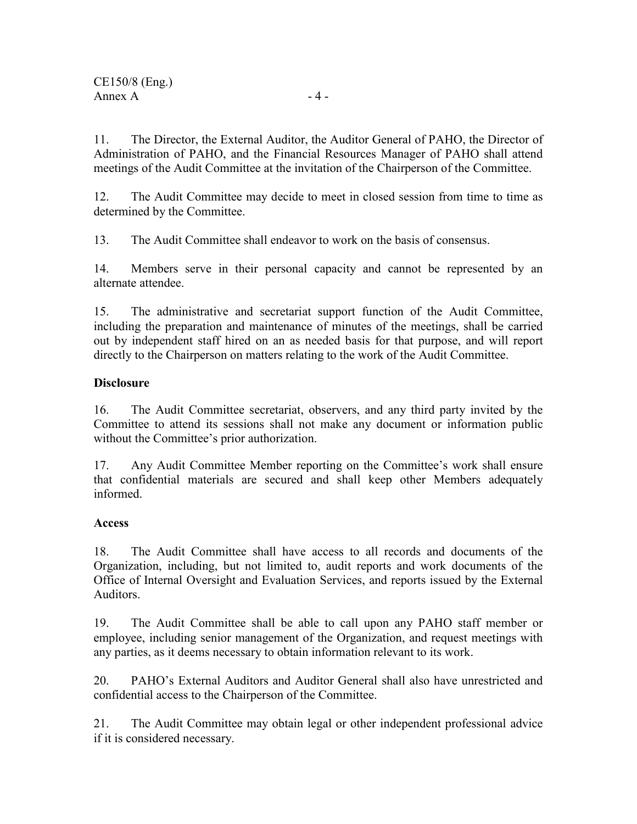11. The Director, the External Auditor, the Auditor General of PAHO, the Director of Administration of PAHO, and the Financial Resources Manager of PAHO shall attend meetings of the Audit Committee at the invitation of the Chairperson of the Committee.

12. The Audit Committee may decide to meet in closed session from time to time as determined by the Committee.

13. The Audit Committee shall endeavor to work on the basis of consensus.

14. Members serve in their personal capacity and cannot be represented by an alternate attendee.

15. The administrative and secretariat support function of the Audit Committee, including the preparation and maintenance of minutes of the meetings, shall be carried out by independent staff hired on an as needed basis for that purpose, and will report directly to the Chairperson on matters relating to the work of the Audit Committee.

#### **Disclosure**

16. The Audit Committee secretariat, observers, and any third party invited by the Committee to attend its sessions shall not make any document or information public without the Committee's prior authorization.

17. Any Audit Committee Member reporting on the Committee's work shall ensure that confidential materials are secured and shall keep other Members adequately informed.

#### **Access**

18. The Audit Committee shall have access to all records and documents of the Organization, including, but not limited to, audit reports and work documents of the Office of Internal Oversight and Evaluation Services, and reports issued by the External Auditors.

19. The Audit Committee shall be able to call upon any PAHO staff member or employee, including senior management of the Organization, and request meetings with any parties, as it deems necessary to obtain information relevant to its work.

20. PAHO's External Auditors and Auditor General shall also have unrestricted and confidential access to the Chairperson of the Committee.

21. The Audit Committee may obtain legal or other independent professional advice if it is considered necessary.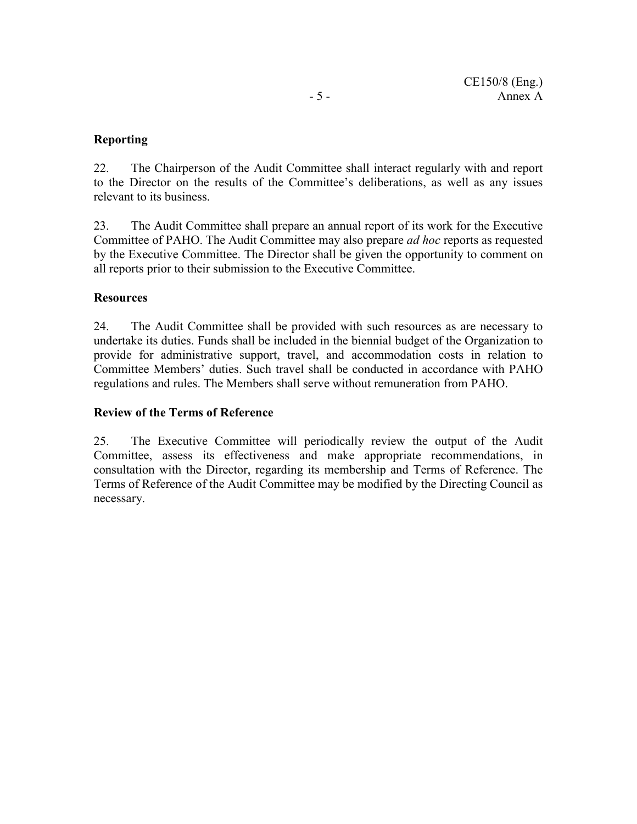#### **Reporting**

22. The Chairperson of the Audit Committee shall interact regularly with and report to the Director on the results of the Committee's deliberations, as well as any issues relevant to its business.

23. The Audit Committee shall prepare an annual report of its work for the Executive Committee of PAHO. The Audit Committee may also prepare *ad hoc* reports as requested by the Executive Committee. The Director shall be given the opportunity to comment on all reports prior to their submission to the Executive Committee.

#### **Resources**

24. The Audit Committee shall be provided with such resources as are necessary to undertake its duties. Funds shall be included in the biennial budget of the Organization to provide for administrative support, travel, and accommodation costs in relation to Committee Members' duties. Such travel shall be conducted in accordance with PAHO regulations and rules. The Members shall serve without remuneration from PAHO.

#### **Review of the Terms of Reference**

25. The Executive Committee will periodically review the output of the Audit Committee, assess its effectiveness and make appropriate recommendations, in consultation with the Director, regarding its membership and Terms of Reference. The Terms of Reference of the Audit Committee may be modified by the Directing Council as necessary.